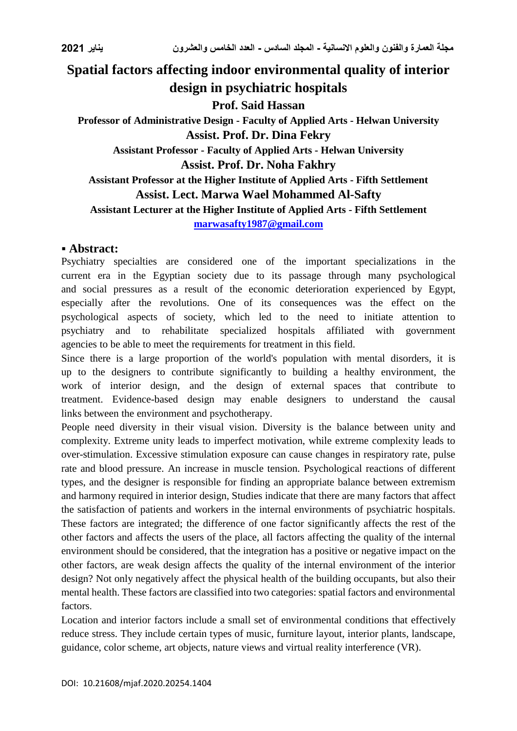# **Spatial factors affecting indoor environmental quality of interior design in psychiatric hospitals Prof. Said Hassan Professor of Administrative Design - Faculty of Applied Arts - Helwan University Assist. Prof. Dr. Dina Fekry Assistant Professor - Faculty of Applied Arts - Helwan University Assist. Prof. Dr. Noha Fakhry Assistant Professor at the Higher Institute of Applied Arts - Fifth Settlement Assist. Lect. Marwa Wael Mohammed Al-Safty Assistant Lecturer at the Higher Institute of Applied Arts - Fifth Settlement [marwasafty1987@gmail.com](mailto:marwasafty1987@gmail.com)**

# **Abstract:**

Psychiatry specialties are considered one of the important specializations in the current era in the Egyptian society due to its passage through many psychological and social pressures as a result of the economic deterioration experienced by Egypt, especially after the revolutions. One of its consequences was the effect on the psychological aspects of society, which led to the need to initiate attention to psychiatry and to rehabilitate specialized hospitals affiliated with government agencies to be able to meet the requirements for treatment in this field.

Since there is a large proportion of the world's population with mental disorders, it is up to the designers to contribute significantly to building a healthy environment, the work of interior design, and the design of external spaces that contribute to treatment. Evidence-based design may enable designers to understand the causal links between the environment and psychotherapy.

People need diversity in their visual vision. Diversity is the balance between unity and complexity. Extreme unity leads to imperfect motivation, while extreme complexity leads to over-stimulation. Excessive stimulation exposure can cause changes in respiratory rate, pulse rate and blood pressure. An increase in muscle tension. Psychological reactions of different types, and the designer is responsible for finding an appropriate balance between extremism and harmony required in interior design, Studies indicate that there are many factors that affect the satisfaction of patients and workers in the internal environments of psychiatric hospitals. These factors are integrated; the difference of one factor significantly affects the rest of the other factors and affects the users of the place, all factors affecting the quality of the internal environment should be considered, that the integration has a positive or negative impact on the other factors, are weak design affects the quality of the internal environment of the interior design? Not only negatively affect the physical health of the building occupants, but also their mental health. These factors are classified into two categories: spatial factors and environmental factors.

Location and interior factors include a small set of environmental conditions that effectively reduce stress. They include certain types of music, furniture layout, interior plants, landscape, guidance, color scheme, art objects, nature views and virtual reality interference (VR).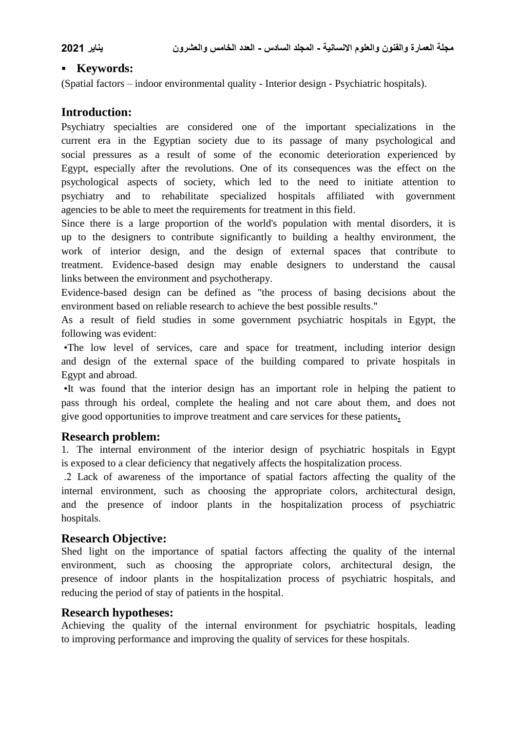# **Keywords:**

(Spatial factors – indoor environmental quality - Interior design - Psychiatric hospitals).

# **Introduction:**

Psychiatry specialties are considered one of the important specializations in the current era in the Egyptian society due to its passage of many psychological and social pressures as a result of some of the economic deterioration experienced by Egypt, especially after the revolutions. One of its consequences was the effect on the psychological aspects of society, which led to the need to initiate attention to psychiatry and to rehabilitate specialized hospitals affiliated with government agencies to be able to meet the requirements for treatment in this field.

Since there is a large proportion of the world's population with mental disorders, it is up to the designers to contribute significantly to building a healthy environment, the work of interior design, and the design of external spaces that contribute to treatment. Evidence-based design may enable designers to understand the causal links between the environment and psychotherapy.

Evidence-based design can be defined as "the process of basing decisions about the environment based on reliable research to achieve the best possible results."

As a result of field studies in some government psychiatric hospitals in Egypt, the following was evident:

 •The low level of services, care and space for treatment, including interior design and design of the external space of the building compared to private hospitals in Egypt and abroad.

 •It was found that the interior design has an important role in helping the patient to pass through his ordeal, complete the healing and not care about them, and does not give good opportunities to improve treatment and care services for these patients**.**

# **Research problem:**

1. The internal environment of the interior design of psychiatric hospitals in Egypt is exposed to a clear deficiency that negatively affects the hospitalization process.

 .2 Lack of awareness of the importance of spatial factors affecting the quality of the internal environment, such as choosing the appropriate colors, architectural design, and the presence of indoor plants in the hospitalization process of psychiatric hospitals.

# **Research Objective:**

Shed light on the importance of spatial factors affecting the quality of the internal environment, such as choosing the appropriate colors, architectural design, the presence of indoor plants in the hospitalization process of psychiatric hospitals, and reducing the period of stay of patients in the hospital.

# **Research hypotheses:**

Achieving the quality of the internal environment for psychiatric hospitals, leading to improving performance and improving the quality of services for these hospitals.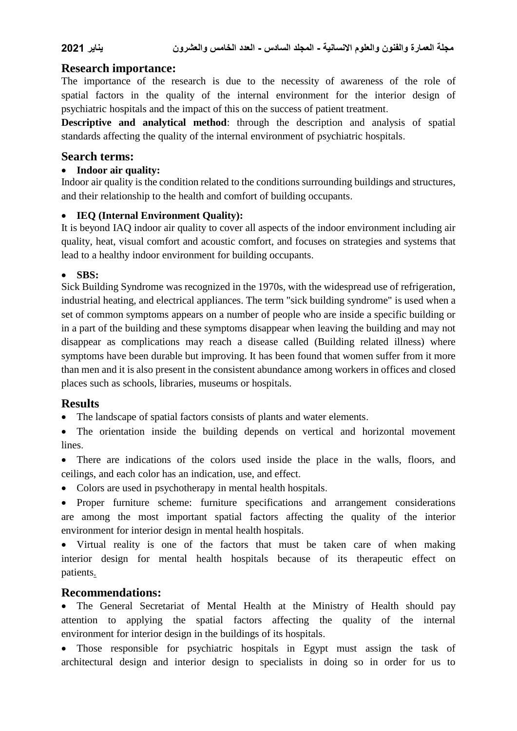# **Research importance:**

The importance of the research is due to the necessity of awareness of the role of spatial factors in the quality of the internal environment for the interior design of psychiatric hospitals and the impact of this on the success of patient treatment.

**Descriptive and analytical method**: through the description and analysis of spatial standards affecting the quality of the internal environment of psychiatric hospitals.

### **Search terms:**

### **Indoor air quality:**

Indoor air quality is the condition related to the conditions surrounding buildings and structures, and their relationship to the health and comfort of building occupants.

### **IEQ (Internal Environment Quality):**

It is beyond IAQ indoor air quality to cover all aspects of the indoor environment including air quality, heat, visual comfort and acoustic comfort, and focuses on strategies and systems that lead to a healthy indoor environment for building occupants.

# **SBS:**

Sick Building Syndrome was recognized in the 1970s, with the widespread use of refrigeration, industrial heating, and electrical appliances. The term "sick building syndrome" is used when a set of common symptoms appears on a number of people who are inside a specific building or in a part of the building and these symptoms disappear when leaving the building and may not disappear as complications may reach a disease called (Building related illness) where symptoms have been durable but improving. It has been found that women suffer from it more than men and it is also present in the consistent abundance among workers in offices and closed places such as schools, libraries, museums or hospitals.

# **Results**

The landscape of spatial factors consists of plants and water elements.

 The orientation inside the building depends on vertical and horizontal movement **lines** 

 There are indications of the colors used inside the place in the walls, floors, and ceilings, and each color has an indication, use, and effect.

• Colors are used in psychotherapy in mental health hospitals.

 Proper furniture scheme: furniture specifications and arrangement considerations are among the most important spatial factors affecting the quality of the interior environment for interior design in mental health hospitals.

• Virtual reality is one of the factors that must be taken care of when making interior design for mental health hospitals because of its therapeutic effect on patients.

# **Recommendations:**

 The General Secretariat of Mental Health at the Ministry of Health should pay attention to applying the spatial factors affecting the quality of the internal environment for interior design in the buildings of its hospitals.

 Those responsible for psychiatric hospitals in Egypt must assign the task of architectural design and interior design to specialists in doing so in order for us to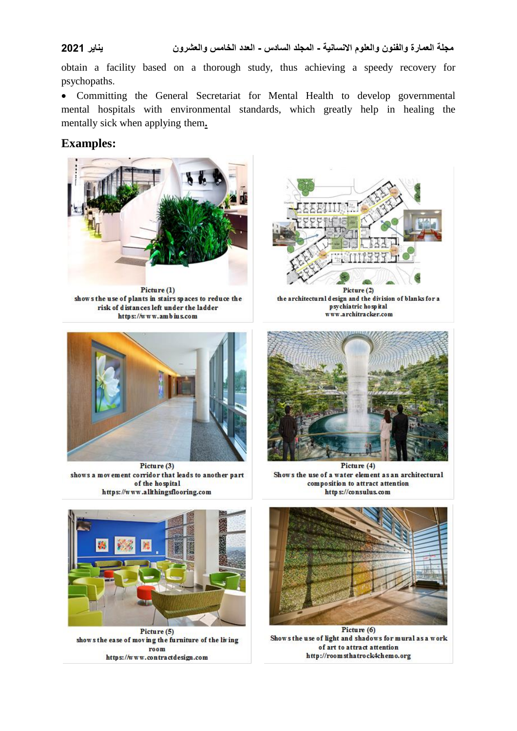obtain a facility based on a thorough study, thus achieving a speedy recovery for psychopaths.

 Committing the General Secretariat for Mental Health to develop governmental mental hospitals with environmental standards, which greatly help in healing the mentally sick when applying them**.**

# **Examples:**



Picture (1) shows the use of plants in stairs spaces to reduce the risk of distances left under the ladder https://www.ambius.com



Picture (3) shows a movement corridor that leads to another part of the hospital https://www.alkhingsflooring.com



Picture (2) the architectural design and the division of blanks for a psychiatric hospital www.architracker.com



Picture (4) Shows the use of a water element as an architectural composition to attract attention http s://consulus.com



Picture (5) shows the ease of moving the furniture of the living room https://www.contractdesign.com



Picture (6) Shows the use of light and shadows for mural as a work of art to attract attention http://roomsthatrock4chemo.org